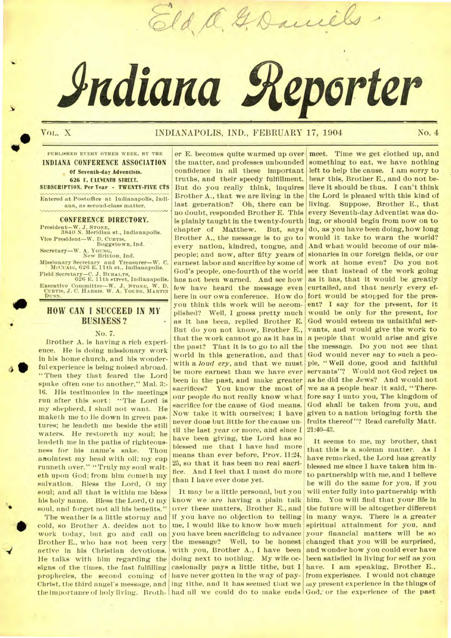# **Adiana Reporter**

Eld a. G. Daniels

 $\bullet$ 

# VOL. X **INDIANAPOLIS, IND., FEBRUARY 17, 1904** No. 4

**PUBLISHED EVERY OTHER WEEK, BY THE INDIANA CONFERENCE ASSOCIATION Of Seventh-day Adventists. 626 E. ELEVENTH STREET. SUBSCRIPTION. Per Year • TWENTY-FIVE CTS** 

Entered at Postoftice at Indianapolis, Indiana, as second-class matter.

### **CONFERENCE DIRECTORY.**

President—W. J. **STONE,**  3840 N. Meridian et.. Indianapolis. Vice President—W. D. CURTIS,<br>Boggstown, Ind.

Secretary—W. A. **YOUNG,**  New Britton, Ind.

Missionary Secretary and Treasurer—W. C. McCuAto, 626 E. 11th st., Indianapolis. Field Secretary—C. J. **BUHALTS,**  626 E. 11th street, Indianapolis.

Executive Committee—W. J. **STONE,** W. D. **CURTIS,** J. **C. HARRIS. W. A. YOUNG, MARTIN DUNN.** 

# **HOW CAN I SUCCEED IN MY BUSINESS?**

#### No. 7.

HOV<br>
Prot<br>
Prot<br>
Prot<br>
Prot<br>
Prot<br>
Prot<br>
Prot<br>
Prot<br>
Prot<br>
Prot<br>
Prot<br>
Prot<br>
Prot<br>
Prot<br>
Prot<br>
Prot<br>
Prot<br>
Prot<br>
Prot<br>
Prot<br>
Prot<br>
Prot<br>
Prot<br>
Prot<br>
Prot<br>
Prot<br>
Prot<br>
Prot<br>
Prot<br>
Prot<br>
Prot<br>
Prot<br>
Prot<br>
Prot<br>
Prot<br>
Prot<br>
P Brother A. is having a rich experience. He is doing missionary work in his home church, and his wonderful experience is being noised abroad. "Then they that feared the Lord spake often one to another," Mal. 3:- 16. His testimonies in the meetings run after this sort: "The Lord is my shepherd, I shall not want. He maketh me to lie down in green pastures; he leadeth me beside the still waters. He restoreth my soul; he leadeth me in the paths of righteousness for his name's sake. Thou anointest my head with oil; my cup runneth over." "Truly my soul waiteth upon God; from him cometh my salvation. Bless the Lord, O my soul; and all that is within me bless his holy name. Bless the Lord, 0 my soul, and forget not all his benefits."

the importance of holy living. Broth- had all we could do to make ends God, or the experience of the past  $\begin{array}{r} \n\bullet \quad \text{in} \quad \text{no} \quad \text{not} \quad \text{not} \quad \text{not} \quad \text{not} \quad \text{not} \quad \text{not} \quad \text{not} \quad \text{not} \quad \text{not} \quad \text{not} \quad \text{not} \quad \text{not} \quad \text{not} \quad \text{not} \quad \text{not} \quad \text{not} \quad \text{not} \quad \text{not} \quad \text{not} \quad \text{not} \quad \text{not} \quad \text{not} \quad \text{not} \quad \text{not} \quad \text{not} \quad \text{not} \quad \text{not} \quad \text{not$ The weather is a little stormy and cold, so Brother A. decides not to work today, but go and call on Brother E., who has not been very active in his Christian devotions. He talks with him regarding the signs of the times, the fast fulfilling prophecies, the second coming of Christ, the third angel's message, and

er E. becomes quite warmed up over the matter, and professes unbounded confidence in all these important truths, and their speedy fulfillment. But do you really think, inquires Brother A., that we are living in the last generation? Oh, there can be no doubt, responded Brother E. This is plainly taught in the twenty-fourth chapter of Matthew. But, *says*  Brother A., the message is to go to every nation, kindred, tongue, and people; and now, after fifty years of earnest labor- and sacrifice by some of God's people, one-fourth of the world has not been warned. And see how few have heard the message even here in our own conference. How do you think this work will be accomplished? Well, **I** guess pretty much as it has been, replied Brother E. But do you not know, Brother E., that the work cannot go as it has in the past? That it is to go to all the world in this generation, and that with a *loud cry,* and that we must be more earnest than we have ever been in the past, and make greater sacrifices? You know the most of our people do not really know what sacrifice for the cause of God means. Now take it with ourselves; I have never done but.little for the cause until the last year or more, and since I have been giving, the Lord has so blessed me that I have had more means than ever before, Prov. 11:24, 25, so that it has been no real sacrifice. And I feel that I must do more than I have ever done yet.

It may be a little personal, but you know we are having a plain talk over these matters, Brother E., and if you have no objection to telling me, I would like to know how much you have been sacrificing to advance the message? Well, to be honest with you, Brother A., I have been doing next to nothing. My wife occasionally pays a little tithe, but I have never gotten in the way of paying tithe, and it has seemed that we

meet. Time we get clothed up, and something to eat, we have nothing left to help the cause. **I** am sorry to hear this, Brother E., and do not believe it should be thus. **I** can't think the Lord is pleased with this kind of living. Suppose, Brother E., that every Seventh-day Adventist was doing, or should begin from now on to do, as you have been doing, how long would it take to warn the world? And what would become of our missionaries in our foreign fields, or our work at home even? Do you not see that instead of the work going as it has, that it would be greatly curtailed, and that nearly every effort would be stopped for the present? I say for the present, for it would be only for the present, for God would esteem us unfaithful servants, and would give the work to a people that would arise and give the message. Do you not see that God would never say to such a people, " Well done, good and faithful servants"? Would not God reject us as he did the Jews? And would not we as a people hear it said, " Therefore say I unto you, The kingdom of God shall be taken from you, and given to a nation bringing forth the fruits thereof"? Read carefully Matt. 21:40-43.

It seems to me, my brother, that that this is a solemn matter. As 1 have remarked, the Lord has greatly blessed me since I have taken him into partnership with me, and I believe he will do the same for you, if you will enter fully into partnership with him. You will find that your life in the future will be altogether different in many ways. There is a greater spiritual attainment for you, and your financial matters will be so changed that you will be surprised, and wonder how you could ever have been satisfied in living for self as you *have.* I am speaking, Brother E., from experience. I would not change my present experience in the things of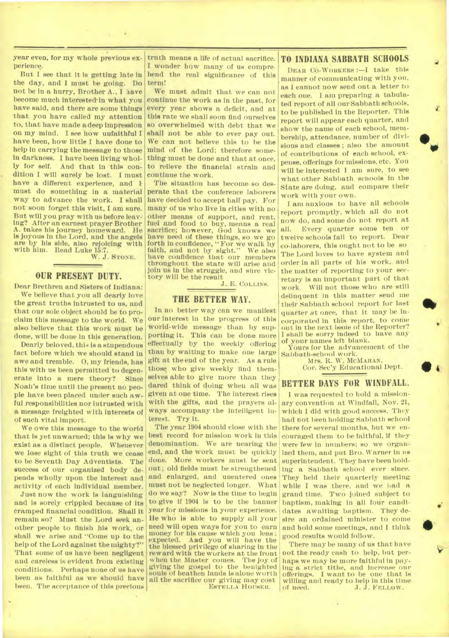year even, for my whole previous experience.

But I see that it is getting late in the day, and 1 must be going. Do not be in a hurry, Brother A., I have become much interested in what you have said, and there are some things that you have called my attention to, that have made a deep impression on my mind. I see how unfaithful I have been, how little I have done to help in *carrying* the message to those in darkness. I have been living whol-<br>ly for self. And that in this con-And that in this condition I will surely be lost. I must have a different experience, and I must do something in a material way to advance the work. I shall not soon forget this visit, I am sure. But will you pray with us before leaving? After an earnest prayer Brother takes his journey homeward. He is joyous in the Lord, and the angels are by his side, also rejoicing with with him. Read Luke 15:7.

W. J. **STONE.** 

#### **OUR PRESENT DUTY.**

Dear Brethren and Sisters of Indiana: We believe that you all dearly love the great truths intrusted to us, and that our sole object should be to proclaim this message to the world. We also believe that this work must be done, will be done in this generation.

Dearly beloved, this is a stupendous fact before which we should stand in awe and tremble. 0, my friends, has this with us been permitted to degenerate into a mere theory? Since Noah's time until the present no people have been placed under such awful responsibilities nor intrusted with a message freighted with interests of of such vital import.

We owe this message to the world that is yet unwarned; this is why we exist as a distinct people. Whenever we lose sight of this truth we cease to be Seventh Day Adventists. The success of our organized body depends wholly upon the interest and activity of each individual member.

Just now the work is languishing and is sorely crippled because of its Cramped financial condition. Shall it remain so? Must the Lord seek another people to finish his work, or shall we arise and "Come up to the help of the Lord against the mighty?" That some of us have been negligent and careless is evident from existing conditions. Perhaps none of us have been as faithful as we Should have been. The acceptance of this precious

truth means a life of actual sacrifice. I wonder how many of us comprehend the real significance of this term!

We must admit that we can not continue the work as in the past, for every year shows a deficit, and at this rate we shall soon find ourselves so overwhelmed with debt that we shall not be able to ever pay out. We can not believe this to he the mind of the Lord; therefore something must be done and that at once, to relieve the financial strain and continue the work.

The situation has become so desperate that the conference laborers have decided to accept half pay. For many of us who live in cities with no other means of support, and rent, fuel and food to buy, means a real sacrifice; however, God knows we have need of these things, so we go forth in confidence, "For we walk by faith, and not by sight." We also have confidence that our members throughout the state will arise and join us in the struggle, and sure victory will be the result

#### J. E. **COLLINS.**

# **THE BETTER WAY.**

In no better way can we manifest our interest in the progress of this world-wide message than by supporting it. This can be done more effectually by the weekly offering than by waiting to make one large gift at the end of the year. As a rule those who give weekly find themselves able to give more than they dared think of doing when all was given at one time. The interest rises with the gifts, and the prayers always accompany the intelligent interest. Try it.

The year 1904 should close with the best record for mission work in this denomination. We are nearing the end, and the work must be quickly done. More workers must be sent out; old fields must be strengthened and enlarged, and unentered ones must not be neglected longer. What do we *say?* Now is the time to begin to give if 1904 is to be the banner year for missions in your experience. He who is able to supply all your need will open ways for you to earn money for his cause which you leas;<br>expected. And you will have the expected. And you will have the the blessed privilege of sharing in the reward with the workers at the front when the Master comes. The joy of giving the gospel to the benighted souls of heathen lands is alone worth all the sacrifice our giving may cost **ESTELLA** HOUSER.

#### **TO INDIANA SABBATH SCHOOLS**

**DEAR CO-WORKERS :—I** take this manner of communicating with you, as I cannot now send out a letter to each one. I am preparing a tabulated report of all our Sabbath schools, to be published in the Reporter. This report will appear each quarter, and show the name of each school, membership, attendance, number of divisions and classes ; also the amount of contributions of each school, expense, offerings for missions. etc. You will be interested I am sure, to see what other Sabbath schools in the State are doing, and compare their work with your own.

 $\bullet$ .

 $\bullet$ 

I am anxious to have all schools 'report promptly, which all do not now do, and some do not report at all. Every quarter some ten or twelve schools fail to report. Dear co-laborers, this ought not to be so The Lord loves to have system and order in all parts of his work, and the matter of reporting to your secretary is an important part of that work. Will not those who are still delinquent in this matter send me their Sabbath school report for last quarter *at once*, that it may be incorporated in this report, to come out in the next issue of the Reporter? I shall be sorry indeed to have any of your names left blank.

Yours for the advancement of the Sabbath-school work.

Mrs. R. W. **MCMAHAN, Cor.** Sec'y Educational Dept.

# **BETTER DAYS FOR WINDFALL.**

I was requested to hold a missionary convention at Windfall, Nov. 21, which I did with good success. They had not been holding Sabbath school there for several mouths, but we encouraged them to he faithful, if they were few in numbers; **so** we organized them, and put Bro. Warner in ns superintendent. They have been holding a Sabbath school ever since. They held their quarterly meeting while I was there, and we had a grand time. Two joined subject to baptism, making in all four candidates awaiting baptism. They desire an ordained minister to come and hold some meetings, and I think good results would follow.

There may be many of us that have not the ready cash to help, but perhaps we may be more faithful in paying a strict tithe, and increase our offerings. I want to be one that is willing and ready to help in this time of need.  $J, J$ . FELLOW, J. J. FELLOW.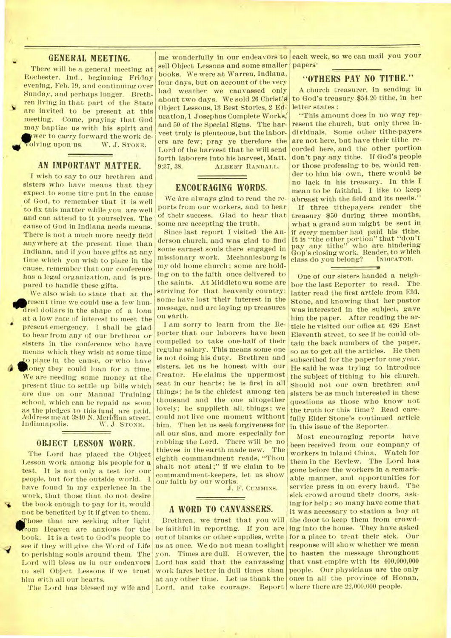## **GENERAL MEETING.**

There will be a general meeting at Rochester. Ind., beginning Friday evening, Feb. 19, and continuing over Sunday, and perhaps longer. Brethren living in that part of the State are invited to be present at this meeting. Come, praying that God may baptize us with his spirit and **at were** to carry forward the work de-<br> **at which we were we** W. J. STONE. olving upon us.

# **AN IMPORTANT MATTER.**

I wish to say to our brethren and sisters who have means that they expect to some time put in the cause of God, to remember that it is well to fix this matter while you are well and can attend to it yourselves. The cause of God in Indiana needs means. There is not a much more needy field anywhere at the present time than Indiana, and if you have gifts at any time which you wish to place in the cause, remember that our conference has a legal organization, and is prepared to handle these gifts.

We also wish to state that at the resent time we could use a few hunred dollars in the shape of a loan at a low rate of interest to meet the present emergency. I shall be glad to hear from any of our brethren or sisters in the conference who have means which they wish at some time to place in the cause, or who have oney they could loan for a time. We are needing some money at the present time to settle up bills which are due on our Manual Training school, which can be repaid as soon as the pledges to this fund are paid. Address me at 3840 N. McMinn street. W. J. STONE.

#### **OBJECT LESSON WORK.**

The Lord has placed the Object Lesson work among his people for a test. It is not only a test for our people, but for the outside world. I have found in my experience in the work, that those that do not desire the book enough to pay for it, would not be benefited by it if given to them. hose that are seeking after light rom Heaven are anxious for the book. It is a test to God's people to see if they will give the Word of Life to perishing souls around them. The Lord will bless us in our endeavors to sell Object Lessons if we trust him with all our hearts.

me wonderfully in our endeavors to sell Object Lessons and some smaller books. We were at Warren, Indiana, four days, but on account of the very bad weather we canvassed only about two *days.* We sold 26 Christ's) Object Lessons, 13 Best Stories, 2 Education, 1 Josephus Complete Works; and 50 of the Special Signs. The harvest truly is plenteous, but the laborers are few; pray ye therefore the Lord of the harvest that he will send forth laborers into his harvest, Matt.<br>9:37, 38. ALBERT RANDALL. ALBERT RANDALL.

# **ENCOURAGING WORDS.**

We are always glad to read the reports from our workers, and to hear some are accepting the truth.

Since last report I visited the Anderson church, and was glad to find some earnest souls there engaged in missionary work. Mechanicsburg is my old home church ; some are holding on to the faith once delivered to the saints. At Middletown some are striving for that heavenly country; some have lost their interest in the message, and are laying up treasures on earth.

I am sorry to learn from the Reporter that our laborers have been compelled to take one-half of their regular salary. This means some one is not doing his duty. Brethren and sisters. let us he honest with our Creator. He claims the uppermost seat in our hearts; he is first in all things ; he is the chiefest among ten thousand and the one altogether lovely; he supplieth all. things; we could not live one moment without him. Then let us seek forgiveness for all our sins, and more especially for robbing the Lord. There will be no thieves in the earth made new. The eighth commandment reads, "Thou shalt not steal;" if we claim to be commandment-keepers, let us show our faith by our works.

J. F. CUMMINS.

#### **A WORD TO CANVASSERS.**

The Lord has blessed my wife and Lord, and take courage. Report where there are 22,000,000 people. Brethren, we trust that you will, be faithful in reporting. If you are out of blanks or other supplies, write us at once. We do not mean to slight you. Times are dull. However, the Lord has said that the canvassing work fares better in dull times than at any other time. Let us thank the

each week, so we can mail you your papers<sup>\*</sup>

# **"OTHERS PAY NO TITHE."**

A church treasurer, in sending in to God's treasury \$54.20 tithe, in her letter states :

"This amount does in no way represent the church, but only three individuals. Some other tithe-payers are not here, but have their tithe recorded here; and the other portion don't pay any tithe. If God's people or those professing to be, would render to him his own, there would be no lack in his treasury. In this I mean to be faithful. I like to keep abreast with the field and its needs."

of their success. Glad to hear that treasury \$50 during three months, If three tithepayers render the what a grand sum might be sent in *if every* member had paid his tithe. It is "the other portion" that "don't pay any tithe" who are hindering Gop's closing work. Reader, to which class do you belong?

U

One of our sisters handed a neighbor the last Reporter to read. The latter read the first article from Eld. Stone, and knowing that her pastor was interested in the subject, gave him the paper. After reading the article he visited our office at 626 East Eleventh street, to see if he could obtain the back numbers of the paper, so as to get all the articles. He then subscribed for the paper for one year. He said he was trying to introduce the subject of tithing to his church. Should not our own brethren and sisters be as much interested in these questions as those who know not the truth for this time? Read carefully Elder Stone's continued article in this issue of the Reporter.

Most encouraging reports have been received from our eompany of workers in inland China. Watch for them in the Review. The Lord has gone before the workers in a remarkable manner, and opportunities for service press in on every hand. The sick crowd around their doors, asking for help ; so many have come that it was necessary to station a boy at the door to keep them from crowding into the house. They have asked for a place to treat their sick. Our response will show whether we mean to hasten the message throughout that vast empire with its 400,000,000 people. Our physicians are the only ones in all the province of Honan,